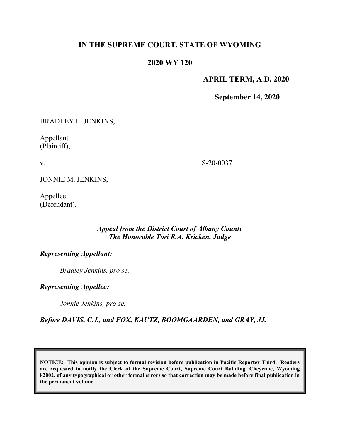# **IN THE SUPREME COURT, STATE OF WYOMING**

## **2020 WY 120**

### **APRIL TERM, A.D. 2020**

**September 14, 2020**

BRADLEY L. JENKINS,

Appellant (Plaintiff),

v.

S-20-0037

JONNIE M. JENKINS,

Appellee (Defendant).

#### *Appeal from the District Court of Albany County The Honorable Tori R.A. Kricken, Judge*

### *Representing Appellant:*

*Bradley Jenkins, pro se.*

*Representing Appellee:*

*Jonnie Jenkins, pro se.*

*Before DAVIS, C.J., and FOX, KAUTZ, BOOMGAARDEN, and GRAY, JJ.*

**NOTICE: This opinion is subject to formal revision before publication in Pacific Reporter Third. Readers are requested to notify the Clerk of the Supreme Court, Supreme Court Building, Cheyenne, Wyoming 82002, of any typographical or other formal errors so that correction may be made before final publication in the permanent volume.**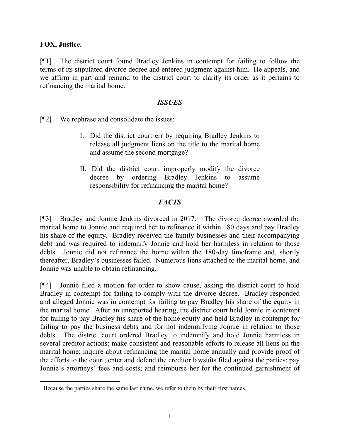### **FOX, Justice.**

[¶1] The district court found Bradley Jenkins in contempt for failing to follow the terms of its stipulated divorce decree and entered judgment against him. He appeals, and we affirm in part and remand to the district court to clarify its order as it pertains to refinancing the marital home.

#### *ISSUES*

[¶2] We rephrase and consolidate the issues:

- I. Did the district court err by requiring Bradley Jenkins to release all judgment liens on the title to the marital home and assume the second mortgage?
- II. Did the district court improperly modify the divorce decree by ordering Bradley Jenkins to assume responsibility for refinancing the marital home?

### *FACTS*

[ $[$ ]] Bradley and Jonnie Jenkins divorced in 20[1](#page-1-0)7.<sup>1</sup> The divorce decree awarded the marital home to Jonnie and required her to refinance it within 180 days and pay Bradley his share of the equity. Bradley received the family businesses and their accompanying debt and was required to indemnify Jonnie and hold her harmless in relation to those debts. Jonnie did not refinance the home within the 180-day timeframe and, shortly thereafter, Bradley's businesses failed. Numerous liens attached to the marital home, and Jonnie was unable to obtain refinancing.

[¶4] Jonnie filed a motion for order to show cause, asking the district court to hold Bradley in contempt for failing to comply with the divorce decree. Bradley responded and alleged Jonnie was in contempt for failing to pay Bradley his share of the equity in the marital home. After an unreported hearing, the district court held Jonnie in contempt for failing to pay Bradley his share of the home equity and held Bradley in contempt for failing to pay the business debts and for not indemnifying Jonnie in relation to those debts. The district court ordered Bradley to indemnify and hold Jonnie harmless in several creditor actions; make consistent and reasonable efforts to release all liens on the marital home; inquire about refinancing the marital home annually and provide proof of the efforts to the court; enter and defend the creditor lawsuits filed against the parties; pay Jonnie's attorneys' fees and costs; and reimburse her for the continued garnishment of

<span id="page-1-0"></span><sup>&</sup>lt;sup>1</sup> Because the parties share the same last name, we refer to them by their first names.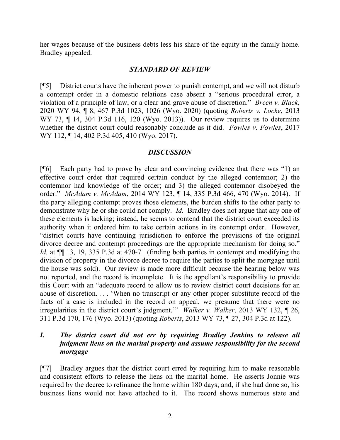her wages because of the business debts less his share of the equity in the family home. Bradley appealed.

#### *STANDARD OF REVIEW*

[¶5] District courts have the inherent power to punish contempt, and we will not disturb a contempt order in a domestic relations case absent a "serious procedural error, a violation of a principle of law, or a clear and grave abuse of discretion." *Breen v. Black*, 2020 WY 94, ¶ 8, 467 P.3d 1023, 1026 (Wyo. 2020) (quoting *Roberts v. Locke*, 2013 WY 73, ¶ 14, 304 P.3d 116, 120 (Wyo. 2013)). Our review requires us to determine whether the district court could reasonably conclude as it did. *Fowles v. Fowles*, 2017 WY 112, ¶ 14, 402 P.3d 405, 410 (Wyo. 2017).

## *DISCUSSION*

[¶6] Each party had to prove by clear and convincing evidence that there was "1) an effective court order that required certain conduct by the alleged contemnor; 2) the contemnor had knowledge of the order; and 3) the alleged contemnor disobeyed the order." *McAdam v. McAdam*, 2014 WY 123, ¶ 14, 335 P.3d 466, 470 (Wyo. 2014). If the party alleging contempt proves those elements, the burden shifts to the other party to demonstrate why he or she could not comply. *Id.* Bradley does not argue that any one of these elements is lacking; instead, he seems to contend that the district court exceeded its authority when it ordered him to take certain actions in its contempt order. However, "district courts have continuing jurisdiction to enforce the provisions of the original divorce decree and contempt proceedings are the appropriate mechanism for doing so." *Id.* at ¶¶ 13, 19, 335 P.3d at 470-71 (finding both parties in contempt and modifying the division of property in the divorce decree to require the parties to split the mortgage until the house was sold). Our review is made more difficult because the hearing below was not reported, and the record is incomplete. It is the appellant's responsibility to provide this Court with an "adequate record to allow us to review district court decisions for an abuse of discretion. . . . 'When no transcript or any other proper substitute record of the facts of a case is included in the record on appeal, we presume that there were no irregularities in the district court's judgment.'" *Walker v. Walker*, 2013 WY 132, ¶ 26, 311 P.3d 170, 176 (Wyo. 2013) (quoting *Roberts*, 2013 WY 73, ¶ 27, 304 P.3d at 122).

## *I. The district court did not err by requiring Bradley Jenkins to release all judgment liens on the marital property and assume responsibility for the second mortgage*

[¶7] Bradley argues that the district court erred by requiring him to make reasonable and consistent efforts to release the liens on the marital home. He asserts Jonnie was required by the decree to refinance the home within 180 days; and, if she had done so, his business liens would not have attached to it. The record shows numerous state and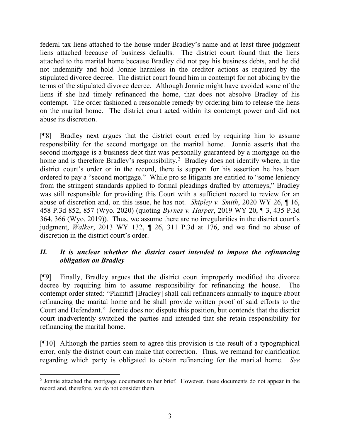federal tax liens attached to the house under Bradley's name and at least three judgment liens attached because of business defaults. The district court found that the liens attached to the marital home because Bradley did not pay his business debts, and he did not indemnify and hold Jonnie harmless in the creditor actions as required by the stipulated divorce decree. The district court found him in contempt for not abiding by the terms of the stipulated divorce decree. Although Jonnie might have avoided some of the liens if she had timely refinanced the home, that does not absolve Bradley of his contempt. The order fashioned a reasonable remedy by ordering him to release the liens on the marital home. The district court acted within its contempt power and did not abuse its discretion.

[¶8] Bradley next argues that the district court erred by requiring him to assume responsibility for the second mortgage on the marital home. Jonnie asserts that the second mortgage is a business debt that was personally guaranteed by a mortgage on the home and is therefore Bradley's responsibility.<sup>[2](#page-3-0)</sup> Bradley does not identify where, in the district court's order or in the record, there is support for his assertion he has been ordered to pay a "second mortgage." While pro se litigants are entitled to "some leniency from the stringent standards applied to formal pleadings drafted by attorneys," Bradley was still responsible for providing this Court with a sufficient record to review for an abuse of discretion and, on this issue, he has not. *Shipley v. Smith*, 2020 WY 26, ¶ 16, 458 P.3d 852, 857 (Wyo. 2020) (quoting *Byrnes v. Harper*, 2019 WY 20, ¶ 3, 435 P.3d 364, 366 (Wyo. 2019)). Thus, we assume there are no irregularities in the district court's judgment, *Walker*, 2013 WY 132, ¶ 26, 311 P.3d at 176, and we find no abuse of discretion in the district court's order.

# *II. It is unclear whether the district court intended to impose the refinancing obligation on Bradley*

[¶9] Finally, Bradley argues that the district court improperly modified the divorce decree by requiring him to assume responsibility for refinancing the house. The contempt order stated: "Plaintiff [Bradley] shall call refinancers annually to inquire about refinancing the marital home and he shall provide written proof of said efforts to the Court and Defendant." Jonnie does not dispute this position, but contends that the district court inadvertently switched the parties and intended that she retain responsibility for refinancing the marital home.

[¶10] Although the parties seem to agree this provision is the result of a typographical error, only the district court can make that correction. Thus, we remand for clarification regarding which party is obligated to obtain refinancing for the marital home. *See* 

<span id="page-3-0"></span><sup>&</sup>lt;sup>2</sup> Jonnie attached the mortgage documents to her brief. However, these documents do not appear in the record and, therefore, we do not consider them.